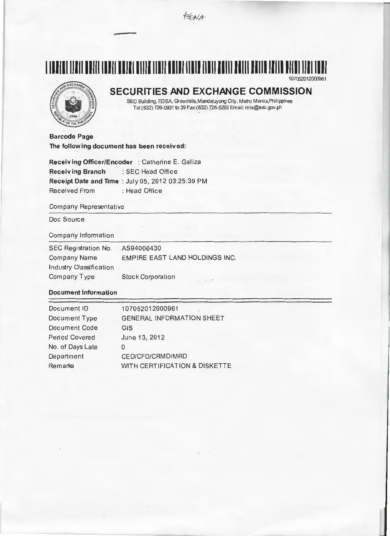

# **1111111111111111111111111111111111111111111111111111111111111111111111111111111111111**  107052012000961

# **SECURITIES AND EXCHANGE COMMISSION**

SEC Building, EDSA, Greenhills, Mandaluyong City, Metro Manila, Philippines Te1:(632) 726-0931 to 39 Fax:(632) ?25-5293 Email: mis@sec.gov.ph

**Barcode Page The following document has been received:** 

**Receiving Officer/Encoder** :Catherine E. Galiza **Receiving Branch** : SEC Head Office **Receipt Date and Time : July 05, 2012 03:25:39 PM** Received From : Head Office

#### Company Representative

Doc Source

### Company Information

| SEC Registration No.    | AS94006430                     |
|-------------------------|--------------------------------|
| <b>Company Name</b>     | EMPIRE EAST LAND HOLDINGS INC. |
| Industry Classification |                                |
| Company Type            | <b>Stock Corporation</b>       |

## **Document Information**

| 107052012000961                  |
|----------------------------------|
| <b>GENERAL INFORMATION SHEET</b> |
| <b>GIS</b>                       |
| June 13, 2012                    |
| 0                                |
| CED/CFD/CRMD/MRD                 |
| WITH CERTIFICATION & DISKETTE    |
|                                  |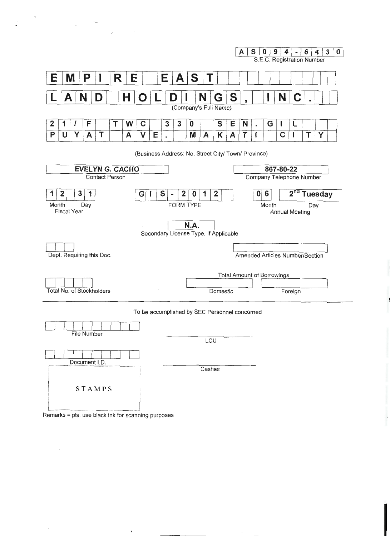

Remarks = pls. use black ink for scanning purposes

 $\overline{\phantom{a}}$ 

 $\sim$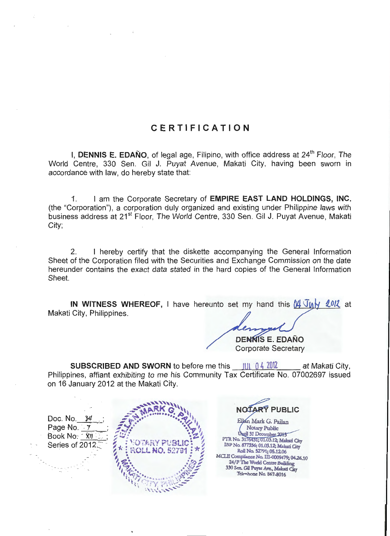# **CERTIFICATION**

I, DENNIS E. EDAÑO, of legal age, Filipino, with office address at 24<sup>th</sup> Floor, The World Centre, 330 Sen. Gil J. Puyat Avenue, Makati City, having been sworn in accordance with law, do hereby state that:

I am the Corporate Secretary of EMPIRE EAST LAND HOLDINGS, INC. 1. (the "Corporation"), a corporation duly organized and existing under Philippine laws with business address at 21<sup>st</sup> Floor, The World Centre, 330 Sen. Gil J. Puyat Avenue, Makati City;

I hereby certify that the diskette accompanying the General Information 2. Sheet of the Corporation filed with the Securities and Exchange Commission on the date hereunder contains the exact data stated in the hard copies of the General Information Sheet.

IN WITNESS WHEREOF, I have hereunto set my hand this  $\mu$   $\sqrt{\mu}$   $\sqrt{\mu}$  at Makati City, Philippines.

> **DENNIS E. EDAÑO Corporate Secretary**

**SUBSCRIBED AND SWORN** to before me this  $\frac{101 \cdot 04}{2012}$ at Makati City, Philippines, affiant exhibiting to me his Community Tax Certificate No. 07002697 issued on 16 January 2012 at the Makati City.



NOTARY PUBLIC

Ellan Mark G. Pailan **Notary Public** Until 31 December 2013 PTR No. 3176431; 01.03.12; Makati City IBP No. 877356; 01.03.12; Makati City Roll No. 52791; 05.12.06 MCLE Compliance No. III-0009479; 04.26.10 24/F The World Centre Building 330 Sen. Gil Puyat Ave., Makati City Telenhone No. 867-8016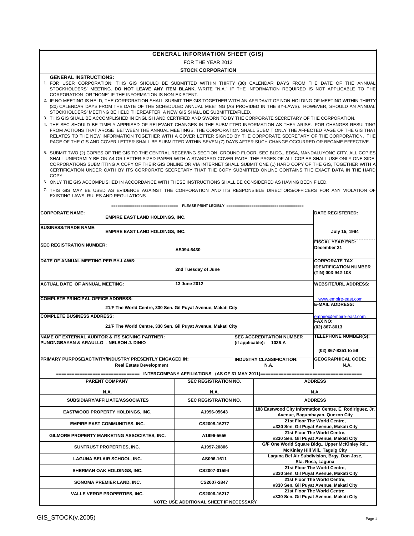|                                                                                                                                                                                                                                                                                                                                                                                                                                                                                                                                                                                                                                                                                                                                                                                                                                                                                                                                                                                                                                                                                                                                                                                                                                                                                                                                      | <b>GENERAL INFORMATION SHEET (GIS)</b>                                                |               |                                                            |                                                                                             |  |  |  |  |
|--------------------------------------------------------------------------------------------------------------------------------------------------------------------------------------------------------------------------------------------------------------------------------------------------------------------------------------------------------------------------------------------------------------------------------------------------------------------------------------------------------------------------------------------------------------------------------------------------------------------------------------------------------------------------------------------------------------------------------------------------------------------------------------------------------------------------------------------------------------------------------------------------------------------------------------------------------------------------------------------------------------------------------------------------------------------------------------------------------------------------------------------------------------------------------------------------------------------------------------------------------------------------------------------------------------------------------------|---------------------------------------------------------------------------------------|---------------|------------------------------------------------------------|---------------------------------------------------------------------------------------------|--|--|--|--|
|                                                                                                                                                                                                                                                                                                                                                                                                                                                                                                                                                                                                                                                                                                                                                                                                                                                                                                                                                                                                                                                                                                                                                                                                                                                                                                                                      | FOR THE YEAR 2012                                                                     |               |                                                            |                                                                                             |  |  |  |  |
|                                                                                                                                                                                                                                                                                                                                                                                                                                                                                                                                                                                                                                                                                                                                                                                                                                                                                                                                                                                                                                                                                                                                                                                                                                                                                                                                      | <b>STOCK CORPORATION</b>                                                              |               |                                                            |                                                                                             |  |  |  |  |
| <b>GENERAL INSTRUCTIONS:</b><br>1. FOR USER CORPORATION: THIS GIS SHOULD BE SUBMITTED WITHIN THIRTY (30) CALENDAR DAYS FROM THE DATE OF THE ANNUAL<br>STOCKHOLDERS' MEETING. DO NOT LEAVE ANY ITEM BLANK. WRITE "N.A." IF THE INFORMATION REQUIRED IS NOT APPLICABLE TO THE<br>CORPORATION OR "NONE" IF THE INFORMATION IS NON-EXISTENT.<br>2. IF NO MEETING IS HELD, THE CORPORATION SHALL SUBMIT THE GIS TOGETHER WITH AN AFFIDAVIT OF NON-HOLDING OF MEETING WITHIN THIRTY<br>(30) CALENDAR DAYS FROM THE DATE OF THE SCHEDULED ANNUAL MEETING (AS PROVIDED IN THE BY-LAWS). HOWEVER, SHOULD AN ANNUAL<br>STOCKHOLDERS' MEETING BE HELD THEREAFTER, A NEW GIS SHALL BE SUBMITTED/FILED.<br>3. THIS GIS SHALL BE ACCOMPLISHED IN ENGLISH AND CERTIFIED AND SWORN TO BY THE CORPORATE SECRETARY OF THE CORPORATION.<br>4. THE SEC SHOULD BE TIMELY APPRISED OF RELEVANT CHANGES IN THE SUBMITTED INFORMATION AS THEY ARISE. FOR CHANGES RESULTING<br>FROM ACTIONS THAT AROSE BETWEEN THE ANNUAL MEETINGS. THE CORPORATION SHALL SUBMIT ONLY THE AFFECTED PAGE OF THE GIS THAT<br>RELATES TO THE NEW INFORMATION TOGETHER WITH A COVER LETTER SIGNED BY THE CORPORATE SECRETARY OF THE CORPORATION. THE<br>PAGE OF THE GIS AND COVER LETTER SHALL BE SUBMITTED WITHIN SEVEN (7) DAYS AFTER SUCH CHANGE OCCURRED OR BECAME EFFECTIVE. |                                                                                       |               |                                                            |                                                                                             |  |  |  |  |
| 5. SUBMIT TWO (2) COPIES OF THE GIS TO THE CENTRAL RECEIVING SECTION, GROUND FLOOR, SEC BLDG., EDSA, MANDALUYONG CITY. ALL COPIES<br>SHALL UNIFORMLY BE ON A4 OR LETTER-SIZED PAPER WITH A STANDARD COVER PAGE. THE PAGES OF ALL COPIES SHALL USE ONLY ONE SIDE.<br>CORPORATIONS SUBMITTING A COPY OF THEIR GIS ONLINE OR VIA INTERNET SHALL SUBMIT ONE (1) HARD COPY OF THE GIS, TOGETHER WITH A<br>CERTIFICATION UNDER OATH BY ITS CORPORATE SECRETARY THAT THE COPY SUBMITTED ONLINE CONTAINS THE EXACT DATA IN THE HARD<br>COPY.<br>6. ONLY THE GIS ACCOMPLISHED IN ACCORDANCE WITH THESE INSTRUCTIONS SHALL BE CONSIDERED AS HAVING BEEN FILED.                                                                                                                                                                                                                                                                                                                                                                                                                                                                                                                                                                                                                                                                                 |                                                                                       |               |                                                            |                                                                                             |  |  |  |  |
| 7. THIS GIS MAY BE USED AS EVIDENCE AGAINST THE CORPORATION AND ITS RESPONSIBLE DIRECTORS/OFFICERS FOR ANY VIOLATION OF<br>EXISTING LAWS, RULES AND REGULATIONS                                                                                                                                                                                                                                                                                                                                                                                                                                                                                                                                                                                                                                                                                                                                                                                                                                                                                                                                                                                                                                                                                                                                                                      |                                                                                       |               |                                                            |                                                                                             |  |  |  |  |
|                                                                                                                                                                                                                                                                                                                                                                                                                                                                                                                                                                                                                                                                                                                                                                                                                                                                                                                                                                                                                                                                                                                                                                                                                                                                                                                                      |                                                                                       |               |                                                            |                                                                                             |  |  |  |  |
| <b>CORPORATE NAME:</b><br><b>EMPIRE EAST LAND HOLDINGS, INC.</b>                                                                                                                                                                                                                                                                                                                                                                                                                                                                                                                                                                                                                                                                                                                                                                                                                                                                                                                                                                                                                                                                                                                                                                                                                                                                     |                                                                                       |               |                                                            | <b>DATE REGISTERED:</b>                                                                     |  |  |  |  |
| <b>BUSINESS/TRADE NAME:</b><br><b>EMPIRE EAST LAND HOLDINGS, INC.</b>                                                                                                                                                                                                                                                                                                                                                                                                                                                                                                                                                                                                                                                                                                                                                                                                                                                                                                                                                                                                                                                                                                                                                                                                                                                                |                                                                                       | July 15, 1994 |                                                            |                                                                                             |  |  |  |  |
| <b>SEC REGISTRATION NUMBER:</b><br>AS094-6430                                                                                                                                                                                                                                                                                                                                                                                                                                                                                                                                                                                                                                                                                                                                                                                                                                                                                                                                                                                                                                                                                                                                                                                                                                                                                        | <b>FISCAL YEAR END:</b><br>December 31                                                |               |                                                            |                                                                                             |  |  |  |  |
| DATE OF ANNUAL MEETING PER BY-LAWS:<br>2nd Tuesday of June                                                                                                                                                                                                                                                                                                                                                                                                                                                                                                                                                                                                                                                                                                                                                                                                                                                                                                                                                                                                                                                                                                                                                                                                                                                                           | <b>CORPORATE TAX</b><br><b>IDENTIFICATION NUMBER</b><br>(TIN) 003-942-108             |               |                                                            |                                                                                             |  |  |  |  |
| <b>ACTUAL DATE OF ANNUAL MEETING:</b>                                                                                                                                                                                                                                                                                                                                                                                                                                                                                                                                                                                                                                                                                                                                                                                                                                                                                                                                                                                                                                                                                                                                                                                                                                                                                                | 13 June 2012                                                                          |               |                                                            | <b>WEBSITE/URL ADDRESS:</b>                                                                 |  |  |  |  |
| <b>COMPLETE PRINCIPAL OFFICE ADDRESS:</b>                                                                                                                                                                                                                                                                                                                                                                                                                                                                                                                                                                                                                                                                                                                                                                                                                                                                                                                                                                                                                                                                                                                                                                                                                                                                                            |                                                                                       |               |                                                            | www.empire-east.com                                                                         |  |  |  |  |
| 21/F The World Centre, 330 Sen. Gil Puyat Avenue, Makati City                                                                                                                                                                                                                                                                                                                                                                                                                                                                                                                                                                                                                                                                                                                                                                                                                                                                                                                                                                                                                                                                                                                                                                                                                                                                        |                                                                                       |               |                                                            | <b>E-MAIL ADDRESS:</b>                                                                      |  |  |  |  |
| <b>COMPLETE BUSINESS ADDRESS:</b>                                                                                                                                                                                                                                                                                                                                                                                                                                                                                                                                                                                                                                                                                                                                                                                                                                                                                                                                                                                                                                                                                                                                                                                                                                                                                                    |                                                                                       |               |                                                            | empire@empire-east.com<br><b>FAX NO:</b>                                                    |  |  |  |  |
| 21/F The World Centre, 330 Sen. Gil Puyat Avenue, Makati City                                                                                                                                                                                                                                                                                                                                                                                                                                                                                                                                                                                                                                                                                                                                                                                                                                                                                                                                                                                                                                                                                                                                                                                                                                                                        |                                                                                       |               |                                                            | (02) 867-8013                                                                               |  |  |  |  |
| <b>NAME OF EXTERNAL AUDITOR &amp; ITS SIGNING PARTNER:</b><br>PUNONGBAYAN & ARAULLO - NELSON J. DINIO                                                                                                                                                                                                                                                                                                                                                                                                                                                                                                                                                                                                                                                                                                                                                                                                                                                                                                                                                                                                                                                                                                                                                                                                                                |                                                                                       |               | <b>SEC ACCREDITATION NUMBER</b><br>(if applicable): 1036-A | <b>TELEPHONE NUMBER(S):</b>                                                                 |  |  |  |  |
| PRIMARY PURPOSE/ACTIVITY/INDUSTRY PRESENTLY ENGAGED IN:                                                                                                                                                                                                                                                                                                                                                                                                                                                                                                                                                                                                                                                                                                                                                                                                                                                                                                                                                                                                                                                                                                                                                                                                                                                                              |                                                                                       |               | <b>INDUSTRY CLASSIFICATION:</b>                            | (02) 867-8351 to 59<br><b>GEOGRAPHICAL CODE:</b>                                            |  |  |  |  |
| <b>Real Estate Development</b>                                                                                                                                                                                                                                                                                                                                                                                                                                                                                                                                                                                                                                                                                                                                                                                                                                                                                                                                                                                                                                                                                                                                                                                                                                                                                                       |                                                                                       |               | N.A.                                                       | N.A.                                                                                        |  |  |  |  |
| ========== INTERCOMPANY AFFILIATIONS        (AS OF 31 MAY 2011)==============                                                                                                                                                                                                                                                                                                                                                                                                                                                                                                                                                                                                                                                                                                                                                                                                                                                                                                                                                                                                                                                                                                                                                                                                                                                        |                                                                                       |               |                                                            |                                                                                             |  |  |  |  |
| <b>PARENT COMPANY</b>                                                                                                                                                                                                                                                                                                                                                                                                                                                                                                                                                                                                                                                                                                                                                                                                                                                                                                                                                                                                                                                                                                                                                                                                                                                                                                                | SEC REGISTRATION NO.                                                                  |               |                                                            | <b>ADDRESS</b>                                                                              |  |  |  |  |
| N.A.<br>SUBSIDIARY/AFFILIATE/ASSOCIATES                                                                                                                                                                                                                                                                                                                                                                                                                                                                                                                                                                                                                                                                                                                                                                                                                                                                                                                                                                                                                                                                                                                                                                                                                                                                                              | N.A.<br>SEC REGISTRATION NO.                                                          |               |                                                            | N.A.<br><b>ADDRESS</b>                                                                      |  |  |  |  |
| <b>EASTWOOD PROPERTY HOLDINGS, INC.</b>                                                                                                                                                                                                                                                                                                                                                                                                                                                                                                                                                                                                                                                                                                                                                                                                                                                                                                                                                                                                                                                                                                                                                                                                                                                                                              | A1996-05643                                                                           |               |                                                            | 188 Eastwood City Information Centre, E. Rodiriguez, Jr.<br>Avenue, Bagumbayan, Quezon City |  |  |  |  |
| <b>EMPIRE EAST COMMUNITIES, INC.</b>                                                                                                                                                                                                                                                                                                                                                                                                                                                                                                                                                                                                                                                                                                                                                                                                                                                                                                                                                                                                                                                                                                                                                                                                                                                                                                 | CS2008-16277                                                                          |               |                                                            | 21st Floor The World Centre,<br>#330 Sen. Gil Puyat Avenue, Makati City                     |  |  |  |  |
| GILMORE PROPERTY MARKETING ASSOCIATES, INC.                                                                                                                                                                                                                                                                                                                                                                                                                                                                                                                                                                                                                                                                                                                                                                                                                                                                                                                                                                                                                                                                                                                                                                                                                                                                                          | 21st Floor The World Centre,<br>A1996-5656<br>#330 Sen. Gil Puyat Avenue, Makati City |               |                                                            |                                                                                             |  |  |  |  |
| SUNTRUST PROPERTIES, INC.                                                                                                                                                                                                                                                                                                                                                                                                                                                                                                                                                                                                                                                                                                                                                                                                                                                                                                                                                                                                                                                                                                                                                                                                                                                                                                            | A1997-20806                                                                           |               |                                                            | G/F One World Square Bldg., Upper McKinley Rd.,<br>McKinley Hill Vill., Taguig City         |  |  |  |  |
| LAGUNA BELAIR SCHOOL, INC.                                                                                                                                                                                                                                                                                                                                                                                                                                                                                                                                                                                                                                                                                                                                                                                                                                                                                                                                                                                                                                                                                                                                                                                                                                                                                                           | AS096-1611                                                                            |               |                                                            | Laguna Bel Air Subdivision, Brgy. Don Jose,<br>Sta. Rosa, Laguna                            |  |  |  |  |
| SHERMAN OAK HOLDINGS, INC.                                                                                                                                                                                                                                                                                                                                                                                                                                                                                                                                                                                                                                                                                                                                                                                                                                                                                                                                                                                                                                                                                                                                                                                                                                                                                                           | CS2007-01594                                                                          |               |                                                            | 21st Floor The World Centre,<br>#330 Sen. Gil Puyat Avenue, Makati City                     |  |  |  |  |
| SONOMA PREMIER LAND, INC.                                                                                                                                                                                                                                                                                                                                                                                                                                                                                                                                                                                                                                                                                                                                                                                                                                                                                                                                                                                                                                                                                                                                                                                                                                                                                                            | CS2007-2847                                                                           |               |                                                            | 21st Floor The World Centre,<br>#330 Sen. Gil Puyat Avenue, Makati City                     |  |  |  |  |
| <b>VALLE VERDE PROPERTIES, INC.</b>                                                                                                                                                                                                                                                                                                                                                                                                                                                                                                                                                                                                                                                                                                                                                                                                                                                                                                                                                                                                                                                                                                                                                                                                                                                                                                  | CS2006-16217                                                                          |               |                                                            | 21st Floor The World Centre,<br>#330 Sen. Gil Puyat Avenue, Makati City                     |  |  |  |  |
|                                                                                                                                                                                                                                                                                                                                                                                                                                                                                                                                                                                                                                                                                                                                                                                                                                                                                                                                                                                                                                                                                                                                                                                                                                                                                                                                      | NOTE: USE ADDITIONAL SHEET IF NECESSARY                                               |               |                                                            |                                                                                             |  |  |  |  |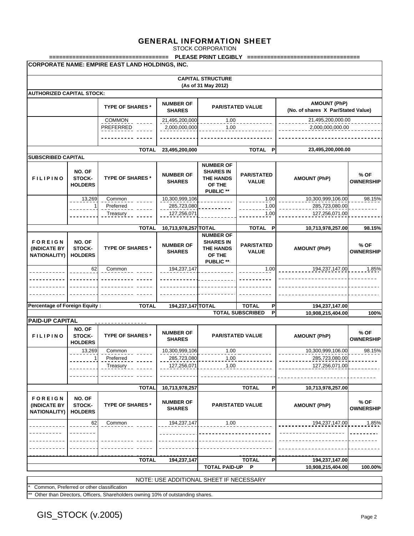STOCK CORPORATION

|                                                       |                                                                                                                                                                                                                                   | ===============                                        |                                         |                                                                                 | PLEASE PRINT LEGIBLY =====================        |                                                           |                          |  |
|-------------------------------------------------------|-----------------------------------------------------------------------------------------------------------------------------------------------------------------------------------------------------------------------------------|--------------------------------------------------------|-----------------------------------------|---------------------------------------------------------------------------------|---------------------------------------------------|-----------------------------------------------------------|--------------------------|--|
|                                                       |                                                                                                                                                                                                                                   | <b>CORPORATE NAME: EMPIRE EAST LAND HOLDINGS, INC.</b> |                                         |                                                                                 |                                                   |                                                           |                          |  |
|                                                       |                                                                                                                                                                                                                                   |                                                        |                                         | <b>CAPITAL STRUCTURE</b><br>(As of 31 May 2012)                                 |                                                   |                                                           |                          |  |
| <b>AUTHORIZED CAPITAL STOCK:</b>                      |                                                                                                                                                                                                                                   |                                                        |                                         |                                                                                 |                                                   |                                                           |                          |  |
|                                                       |                                                                                                                                                                                                                                   | <b>TYPE OF SHARES *</b>                                | <b>NUMBER OF</b><br><b>SHARES</b>       |                                                                                 | <b>PAR/STATED VALUE</b>                           | <b>AMOUNT (PhP)</b><br>(No. of shares X Par/Stated Value) |                          |  |
| <b>COMMON</b><br>PREFERRED                            |                                                                                                                                                                                                                                   |                                                        | 21,495,200,000<br>2,000,000,000         | 1.00<br>1.00                                                                    |                                                   | 21,495,200,000.00<br>2,000,000,000.00                     |                          |  |
|                                                       |                                                                                                                                                                                                                                   |                                                        |                                         |                                                                                 |                                                   |                                                           |                          |  |
|                                                       |                                                                                                                                                                                                                                   | <b>TOTAL</b>                                           | 23,495,200,000                          |                                                                                 | TOTAL P                                           | 23,495,200,000.00                                         |                          |  |
| <b>SUBSCRIBED CAPITAL</b>                             |                                                                                                                                                                                                                                   |                                                        |                                         |                                                                                 |                                                   |                                                           |                          |  |
| <b>FILIPINO</b>                                       | <b>NUMBER OF</b><br>NO. OF<br><b>SHARES IN</b><br><b>NUMBER OF</b><br><b>PAR/STATED</b><br>STOCK-<br><b>TYPE OF SHARES *</b><br><b>THE HANDS</b><br><b>VALUE</b><br><b>SHARES</b><br>OF THE<br><b>HOLDERS</b><br><b>PUBLIC **</b> |                                                        | <b>AMOUNT (PhP)</b>                     | % OF<br><b>OWNERSHIP</b>                                                        |                                                   |                                                           |                          |  |
|                                                       | 13,269                                                                                                                                                                                                                            | Common                                                 | 10,300,999,106                          |                                                                                 | 1.00                                              | 10,300,999,106.00                                         | 98.15%                   |  |
|                                                       |                                                                                                                                                                                                                                   | Preferred<br>Treasury                                  | 285,723,080<br>127,256,071              |                                                                                 | 1.00<br>1.00                                      | 285,723,080.00<br>127,256,071.00                          |                          |  |
|                                                       |                                                                                                                                                                                                                                   | <b>TOTAL</b>                                           | 10,713,978,257 TOTAL                    |                                                                                 | TOTAL P                                           | 10,713,978,257.00                                         | 98.15%                   |  |
| <b>FOREIGN</b><br>(INDICATE BY<br><b>NATIONALITY)</b> | NO. OF<br>STOCK-<br><b>HOLDERS</b>                                                                                                                                                                                                | <b>TYPE OF SHARES *</b>                                | <b>NUMBER OF</b><br><b>SHARES</b>       | <b>NUMBER OF</b><br><b>SHARES IN</b><br><b>THE HANDS</b><br>OF THE<br>PUBLIC ** | <b>PAR/STATED</b><br><b>VALUE</b>                 | <b>AMOUNT (PhP)</b>                                       | % OF<br><b>OWNERSHIP</b> |  |
|                                                       | 62                                                                                                                                                                                                                                | Common                                                 | 194,237,147                             |                                                                                 | 1.00                                              | 194,237,147.00                                            | 1.85%                    |  |
|                                                       |                                                                                                                                                                                                                                   |                                                        |                                         |                                                                                 |                                                   |                                                           |                          |  |
|                                                       |                                                                                                                                                                                                                                   |                                                        |                                         |                                                                                 |                                                   |                                                           |                          |  |
| <b>Percentage of Foreign Equity:</b>                  |                                                                                                                                                                                                                                   | <b>TOTAL</b>                                           | 194,237,147 TOTAL                       |                                                                                 | <b>TOTAL</b><br>P<br><b>TOTAL SUBSCRIBED</b><br>P | 194,237,147.00<br>10,908,215,404.00                       | 100%                     |  |
| <b>PAID-UP CAPITAL</b>                                |                                                                                                                                                                                                                                   |                                                        |                                         |                                                                                 |                                                   |                                                           |                          |  |
| <b>FILIPINO</b>                                       | NO. OF<br>STOCK-<br><b>HOLDERS</b>                                                                                                                                                                                                | <b>TYPE OF SHARES*</b>                                 | <b>NUMBER OF</b><br><b>SHARES</b>       |                                                                                 | <b>PAR/STATED VALUE</b>                           | <b>AMOUNT (PhP)</b>                                       | % OF<br><b>OWNERSHIP</b> |  |
|                                                       | 13,269                                                                                                                                                                                                                            | Common                                                 | 10,300,999,106                          | 1.00                                                                            |                                                   | 10,300,999,106.00                                         | 98.15%                   |  |
|                                                       |                                                                                                                                                                                                                                   | Preferred                                              | 285,723,080                             | 1.00                                                                            |                                                   | 285,723,080.00                                            |                          |  |
|                                                       |                                                                                                                                                                                                                                   | Treasury                                               | 127,256,071                             | 1.00                                                                            |                                                   | 127,256,071.00                                            |                          |  |
|                                                       |                                                                                                                                                                                                                                   |                                                        |                                         |                                                                                 |                                                   |                                                           |                          |  |
|                                                       |                                                                                                                                                                                                                                   | <b>TOTAL</b>                                           | 10,713,978,257                          |                                                                                 | <b>TOTAL</b><br>P                                 | 10,713,978,257.00                                         |                          |  |
| <b>FOREIGN</b><br>(INDICATE BY<br><b>NATIONALITY)</b> | NO. OF<br>STOCK-<br><b>HOLDERS</b>                                                                                                                                                                                                | <b>TYPE OF SHARES*</b>                                 | <b>NUMBER OF</b><br><b>SHARES</b>       |                                                                                 | <b>PAR/STATED VALUE</b>                           | <b>AMOUNT (PhP)</b>                                       | % OF<br><b>OWNERSHIP</b> |  |
|                                                       | 62                                                                                                                                                                                                                                | Common                                                 | 194,237,147                             | 1.00                                                                            |                                                   | 194,237,147.00                                            | 1.85%                    |  |
|                                                       |                                                                                                                                                                                                                                   |                                                        |                                         |                                                                                 |                                                   |                                                           |                          |  |
|                                                       |                                                                                                                                                                                                                                   |                                                        |                                         |                                                                                 |                                                   |                                                           |                          |  |
|                                                       |                                                                                                                                                                                                                                   |                                                        |                                         |                                                                                 |                                                   |                                                           |                          |  |
|                                                       |                                                                                                                                                                                                                                   | <b>TOTAL</b>                                           | 194,237,147                             |                                                                                 | <b>TOTAL</b><br>P                                 | 194,237,147.00                                            |                          |  |
|                                                       |                                                                                                                                                                                                                                   |                                                        |                                         | <b>TOTAL PAID-UP</b>                                                            | P                                                 | 10,908,215,404.00                                         | 100.00%                  |  |
|                                                       |                                                                                                                                                                                                                                   |                                                        | NOTE: USE ADDITIONAL SHEET IF NECESSARY |                                                                                 |                                                   |                                                           |                          |  |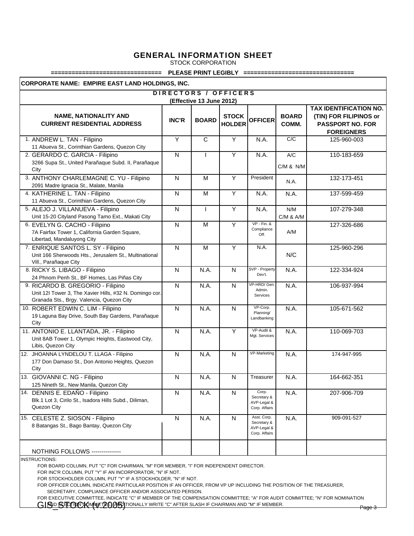STOCK CORPORATION

#### **================================ PLEASE PRINT LEGIBLY ================================**

**CORPORATE NAME: EMPIRE EAST LAND HOLDINGS, INC.**

|                                                                                                                                           | DIRECTORS / OFFICERS<br>(Effective 13 June 2012) |                         |                               |                                                            |                       |                                                                                                         |  |  |
|-------------------------------------------------------------------------------------------------------------------------------------------|--------------------------------------------------|-------------------------|-------------------------------|------------------------------------------------------------|-----------------------|---------------------------------------------------------------------------------------------------------|--|--|
| <b>NAME, NATIONALITY AND</b><br><b>CURRENT RESIDENTIAL ADDRESS</b>                                                                        | <b>INC'R</b>                                     | <b>BOARD</b>            | <b>STOCK</b><br><b>HOLDER</b> | <b>OFFICER</b>                                             | <b>BOARD</b><br>COMM. | <b>TAX IDENTIFICATION NO.</b><br>(TIN) FOR FILIPINOS or<br><b>PASSPORT NO. FOR</b><br><b>FOREIGNERS</b> |  |  |
| 1. ANDREW L. TAN - Filipino<br>11 Abueva St., Corinthian Gardens, Quezon City                                                             | Ÿ                                                | $\overline{\mathsf{c}}$ | Ÿ                             | N.A.                                                       | C/C                   | 125-960-003                                                                                             |  |  |
| 2. GERARDO C. GARCIA - Filipino<br>3266 Supa St., United Parañaque Subd. II, Parañaque<br>City                                            | $\mathsf{N}$                                     |                         | Y                             | N.A.                                                       | A/C<br>$C/M$ & $N/M$  | 110-183-659                                                                                             |  |  |
| 3. ANTHONY CHARLEMAGNE C. YU - Filipino<br>2091 Madre Ignacia St., Malate, Manila                                                         | N                                                | M                       | Y                             | President                                                  | N.A.                  | 132-173-451                                                                                             |  |  |
| 4. KATHERINE L. TAN - Filipino<br>11 Abueva St., Corinthian Gardens, Quezon City                                                          | $\mathsf{N}$                                     | M                       | Y                             | N.A.                                                       | N.A.                  | 137-599-459                                                                                             |  |  |
| 5. ALEJO J. VILLANUEVA - Filipino<br>Unit 15-20 Cityland Pasong Tamo Ext., Makati City                                                    | N                                                | L                       | Y                             | N.A.                                                       | N/M<br>$C/M$ & $A/M$  | 107-279-348                                                                                             |  |  |
| 6. EVELYN G. CACHO - Filipino<br>7A Fairfax Tower 1, California Garden Square,<br>Libertad, Mandaluyong City                              | $\overline{\mathsf{N}}$                          | M                       | Ÿ                             | $VP - Fin.$ &<br>Compliance<br>Off.                        | A/M                   | 127-326-686                                                                                             |  |  |
| 7. ENRIQUE SANTOS L. SY - Filipino<br>Unit 166 Sherwoods Hts., Jerusalem St., Multinational<br>Vill., Parañaque City                      | N                                                | M                       | Ÿ                             | N.A.                                                       | N/C                   | 125-960-296                                                                                             |  |  |
| 8. RICKY S. LIBAGO - Filipino<br>24 Phnom Penh St., BF Homes, Las Piñas City                                                              | N                                                | N.A.                    | $\mathsf{N}$                  | SVP - Property<br>Dev't.                                   | N.A.                  | 122-334-924                                                                                             |  |  |
| 9. RICARDO B. GREGORIO - Filipino<br>Unit 12I Tower 3, The Xavier Hills, #32 N. Domingo cor.<br>Granada Sts., Brgy. Valencia, Quezon City | $\overline{N}$                                   | N.A.                    | $\mathsf{N}$                  | VP-HRD/Gen<br>Admin.<br>Services                           | N.A.                  | 106-937-994                                                                                             |  |  |
| 10. ROBERT EDWIN C. LIM - Filipino<br>19 Laguna Bay Drive, South Bay Gardens, Parañaque<br>City                                           | $\mathsf{N}$                                     | N.A.                    | $\mathsf{N}$                  | VP-Corp.<br>Planning/<br>Landbanking                       | N.A.                  | 105-671-562                                                                                             |  |  |
| 11. ANTONIO E. LLANTADA, JR. - Filipino<br>Unit 8AB Tower 1, Olympic Heights, Eastwood City,<br>Libis, Quezon City                        | $\mathsf{N}$                                     | N.A.                    | Y                             | VP-Audit &<br>Mgt. Services                                | N.A.                  | 110-069-703                                                                                             |  |  |
| 12. JHOANNA LYNDELOU T. LLAGA - Filipino<br>177 Don Damaso St., Don Antonio Heights, Quezon<br>City                                       | $\mathsf{N}$                                     | N.A.                    | N                             | VP-Marketing                                               | N.A.                  | 174-947-995                                                                                             |  |  |
| 13. GIOVANNI C. NG - Filipino<br>125 Nineth St., New Manila, Quezon City                                                                  | $\mathsf{N}$                                     | N.A.                    | $\mathsf{N}$                  | Treasurer                                                  | N.A.                  | 164-662-351                                                                                             |  |  |
| 14. DENNIS E. EDAÑO - Filipino<br>Blk.1 Lot 3, Cirilo St., Isadora Hills Subd., Diliman,<br>Quezon City                                   | N                                                | N.A.                    | $\mathsf{N}$                  | Corp.<br>Secretary &<br>AVP-Legal &<br>Corp. Affairs       | N.A.                  | 207-906-709                                                                                             |  |  |
| 15. CELESTE Z. SIOSON - Filipino<br>8 Batangas St., Bago Bantay, Quezon City                                                              | $\mathsf{N}$                                     | N.A.                    | N                             | Asst. Corp.<br>Secretary &<br>AVP-Legal &<br>Corp. Affairs | N.A.                  | 909-091-527                                                                                             |  |  |
| <b>NOTHING FOLLOWS ---------------</b>                                                                                                    |                                                  |                         |                               |                                                            |                       |                                                                                                         |  |  |

INSTRUCTIONS:

FOR BOARD COLUMN, PUT "C" FOR CHAIRMAN, "M" FOR MEMBER, "I" FOR INDEPENDENT DIRECTOR.

FOR INC'R COLUMN, PUT "Y" IF AN INCORPORATOR, "N" IF NOT.

FOR STOCKHOLDER COLUMN, PUT "Y" IF A STOCKHOLDER, "N" IF NOT.

FOR OFFICER COLUMN, INDICATE PARTICULAR POSITION IF AN OFFICER, FROM VP UP INCLUDING THE POSITION OF THE TREASURER,

SECRETARY, COMPLIANCE OFFICER AND/OR ASSOCIATED PERSON.

FOR EXECUTIVE COMMITTEE, INDICATE "C" IF MEMBER OF THE COMPENSATION COMMITTEE; "A" FOR AUDIT COMMITTEE; "N" FOR NOMINATION GISO STORK WIT PO GENERALLY WRITE "C" AFTER SLASH IF CHAIRMAN AND "M" IF MEMBER.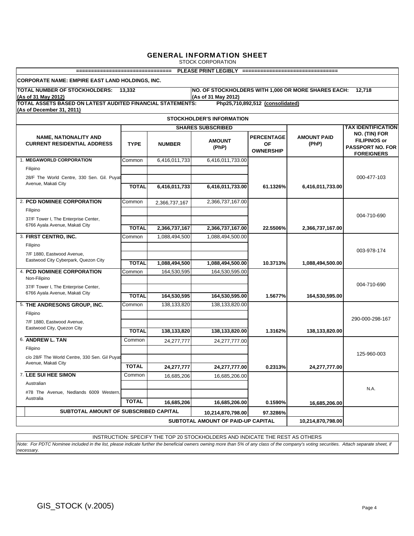STOCK CORPORATION

| PLEASE PRINT LEGIBLY ================================<br>=================================                                                                 |                                                                        |               |                                    |                                             |                             |                                                                                      |  |  |  |  |
|------------------------------------------------------------------------------------------------------------------------------------------------------------|------------------------------------------------------------------------|---------------|------------------------------------|---------------------------------------------|-----------------------------|--------------------------------------------------------------------------------------|--|--|--|--|
| CORPORATE NAME: EMPIRE EAST LAND HOLDINGS, INC.                                                                                                            |                                                                        |               |                                    |                                             |                             |                                                                                      |  |  |  |  |
| <b>TOTAL NUMBER OF STOCKHOLDERS: 13.332</b><br>NO. OF STOCKHOLDERS WITH 1,000 OR MORE SHARES EACH:<br>12.718<br>(As of 31 May 2012)<br>(As of 31 May 2012) |                                                                        |               |                                    |                                             |                             |                                                                                      |  |  |  |  |
| TOTAL ASSETS BASED ON LATEST AUDITED FINANCIAL STATEMENTS:<br>Php25,710,892,512 (consolidated)                                                             |                                                                        |               |                                    |                                             |                             |                                                                                      |  |  |  |  |
| (As of December 31, 2011)                                                                                                                                  |                                                                        |               |                                    |                                             |                             |                                                                                      |  |  |  |  |
| <b>STOCKHOLDER'S INFORMATION</b>                                                                                                                           |                                                                        |               |                                    |                                             |                             |                                                                                      |  |  |  |  |
|                                                                                                                                                            |                                                                        |               | <b>SHARES SUBSCRIBED</b>           |                                             |                             | <b>TAX IDENTIFICATION</b>                                                            |  |  |  |  |
| <b>NAME, NATIONALITY AND</b><br><b>CURRENT RESIDENTIAL ADDRESS</b>                                                                                         | <b>TYPE</b>                                                            | <b>NUMBER</b> | <b>AMOUNT</b><br>(PhP)             | <b>PERCENTAGE</b><br>ΟF<br><b>OWNERSHIP</b> | <b>AMOUNT PAID</b><br>(PhP) | NO. (TIN) FOR<br><b>FILIPINOS or</b><br><b>PASSPORT NO. FOR</b><br><b>FOREIGNERS</b> |  |  |  |  |
| 1. MEGAWORLD CORPORATION                                                                                                                                   | Common                                                                 | 6,416,011,733 | 6,416,011,733.00                   |                                             |                             |                                                                                      |  |  |  |  |
| Filipino                                                                                                                                                   |                                                                        |               |                                    |                                             |                             |                                                                                      |  |  |  |  |
| 28/F The World Centre, 330 Sen. Gil. Puyat                                                                                                                 |                                                                        |               |                                    |                                             |                             | 000-477-103                                                                          |  |  |  |  |
| Avenue, Makati City                                                                                                                                        | <b>TOTAL</b>                                                           | 6,416,011,733 | 6,416,011,733.00                   | 61.1326%                                    | 6,416,011,733.00            |                                                                                      |  |  |  |  |
| 2. PCD NOMINEE CORPORATION                                                                                                                                 | Common                                                                 | 2,366,737,167 | 2,366,737,167.00                   |                                             |                             |                                                                                      |  |  |  |  |
| Filipino                                                                                                                                                   |                                                                        |               |                                    |                                             |                             |                                                                                      |  |  |  |  |
| 37/F Tower I, The Enterprise Center,                                                                                                                       |                                                                        |               |                                    |                                             |                             | 004-710-690                                                                          |  |  |  |  |
| 6766 Ayala Avenue, Makati City                                                                                                                             |                                                                        |               |                                    |                                             |                             |                                                                                      |  |  |  |  |
|                                                                                                                                                            | <b>TOTAL</b>                                                           | 2,366,737,167 | 2,366,737,167.00                   | 22.5506%                                    | 2,366,737,167.00            |                                                                                      |  |  |  |  |
| 3. FIRST CENTRO, INC.                                                                                                                                      | Common                                                                 | 1,088,494,500 | 1,088,494,500.00                   |                                             |                             |                                                                                      |  |  |  |  |
| Filipino                                                                                                                                                   |                                                                        |               |                                    |                                             |                             |                                                                                      |  |  |  |  |
| 7/F 1880. Eastwood Avenue.                                                                                                                                 |                                                                        |               |                                    |                                             |                             | 003-978-174                                                                          |  |  |  |  |
| Eastwood City Cyberpark, Quezon City                                                                                                                       |                                                                        |               |                                    |                                             |                             |                                                                                      |  |  |  |  |
|                                                                                                                                                            | <b>TOTAL</b>                                                           | 1,088,494,500 | 1,088,494,500.00                   | 10.3713%                                    | 1,088,494,500.00            |                                                                                      |  |  |  |  |
| <b>4. PCD NOMINEE CORPORATION</b><br>Non-Filipino                                                                                                          | Common                                                                 | 164,530,595   | 164,530,595.00                     |                                             |                             |                                                                                      |  |  |  |  |
| 37/F Tower I, The Enterprise Center,                                                                                                                       |                                                                        |               |                                    |                                             |                             | 004-710-690                                                                          |  |  |  |  |
| 6766 Ayala Avenue, Makati City                                                                                                                             | <b>TOTAL</b>                                                           | 164,530,595   | 164,530,595.00                     | 1.5677%                                     | 164,530,595.00              |                                                                                      |  |  |  |  |
|                                                                                                                                                            |                                                                        |               |                                    |                                             |                             |                                                                                      |  |  |  |  |
| 5. THE ANDRESONS GROUP, INC.                                                                                                                               | Common                                                                 | 138,133,820   | 138,133,820.00                     |                                             |                             |                                                                                      |  |  |  |  |
| Filipino                                                                                                                                                   |                                                                        |               |                                    |                                             |                             | 290-000-298-167                                                                      |  |  |  |  |
| 7/F 1880, Eastwood Avenue,                                                                                                                                 |                                                                        |               |                                    |                                             |                             |                                                                                      |  |  |  |  |
| Eastwood City, Quezon City                                                                                                                                 | <b>TOTAL</b>                                                           | 138,133,820   | 138,133,820.00                     | 1.3162%                                     | 138,133,820.00              |                                                                                      |  |  |  |  |
| 6. ANDREW L. TAN                                                                                                                                           | Common                                                                 | 24,277,777    | 24,277,777.00                      |                                             |                             |                                                                                      |  |  |  |  |
| Filipino                                                                                                                                                   |                                                                        |               |                                    |                                             |                             |                                                                                      |  |  |  |  |
| c/o 28/F The World Centre, 330 Sen. Gil Puyat                                                                                                              |                                                                        |               |                                    |                                             |                             | 125-960-003                                                                          |  |  |  |  |
| Avenue, Makati City                                                                                                                                        |                                                                        |               |                                    |                                             |                             |                                                                                      |  |  |  |  |
|                                                                                                                                                            | <b>TOTAL</b>                                                           | 24,277,777    | 24,277,777.00                      | 0.2313%                                     | 24,277,777.00               |                                                                                      |  |  |  |  |
| 7. LEE SUI HEE SIMON                                                                                                                                       | Common                                                                 | 16,685,206    | 16,685,206.00                      |                                             |                             |                                                                                      |  |  |  |  |
| Australian                                                                                                                                                 |                                                                        |               |                                    |                                             |                             |                                                                                      |  |  |  |  |
| #78 The Avenue. Nedlands 6009 Western.                                                                                                                     |                                                                        |               |                                    |                                             |                             | N.A.                                                                                 |  |  |  |  |
| Australia                                                                                                                                                  | <b>TOTAL</b>                                                           | 16,685,206    | 16,685,206.00                      | 0.1590%                                     | 16,685,206.00               |                                                                                      |  |  |  |  |
|                                                                                                                                                            |                                                                        |               |                                    |                                             |                             |                                                                                      |  |  |  |  |
|                                                                                                                                                            | SUBTOTAL AMOUNT OF SUBSCRIBED CAPITAL<br>10,214,870,798.00<br>97.3286% |               |                                    |                                             |                             |                                                                                      |  |  |  |  |
|                                                                                                                                                            |                                                                        |               | SUBTOTAL AMOUNT OF PAID-UP CAPITAL |                                             | 10,214,870,798.00           |                                                                                      |  |  |  |  |

*Note: For PDTC Nominee included in the list, please indicate further the beneficial owners owning more than 5% of any class of the company's voting securities. Attach separate sheet, if necessary.* INSTRUCTION: SPECIFY THE TOP 20 STOCKHOLDERS AND INDICATE THE REST AS OTHERS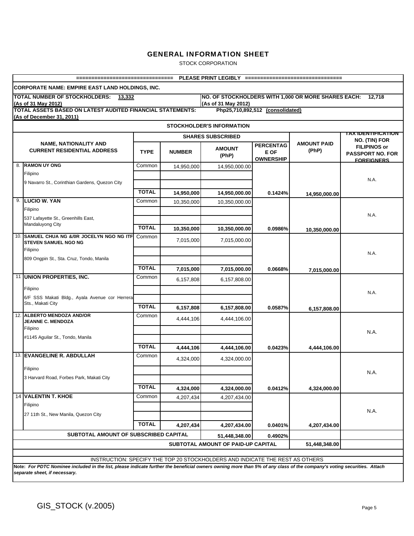STOCK CORPORATION

|                          | ==================================                                                                                                                                                                      |                              |            |                                                                              |                                              | PLEASE PRINT LEGIBLY ==================================    |                                                                                      |  |  |  |
|--------------------------|---------------------------------------------------------------------------------------------------------------------------------------------------------------------------------------------------------|------------------------------|------------|------------------------------------------------------------------------------|----------------------------------------------|------------------------------------------------------------|--------------------------------------------------------------------------------------|--|--|--|
|                          | <b>CORPORATE NAME: EMPIRE EAST LAND HOLDINGS, INC.</b>                                                                                                                                                  |                              |            |                                                                              |                                              |                                                            |                                                                                      |  |  |  |
|                          | TOTAL NUMBER OF STOCKHOLDERS: 13,332<br>(As of 31 May 2012)                                                                                                                                             |                              |            | (As of 31 May 2012)                                                          |                                              | NO. OF STOCKHOLDERS WITH 1,000 OR MORE SHARES EACH: 12,718 |                                                                                      |  |  |  |
|                          | TOTAL ASSETS BASED ON LATEST AUDITED FINANCIAL STATEMENTS:<br>(As of December 31, 2011)                                                                                                                 |                              |            |                                                                              | Php25,710,892,512 (consolidated)             |                                                            |                                                                                      |  |  |  |
|                          |                                                                                                                                                                                                         |                              |            | <b>STOCKHOLDER'S INFORMATION</b>                                             |                                              |                                                            | <b>TAX IDENTIFICATION</b>                                                            |  |  |  |
| <b>SHARES SUBSCRIBED</b> |                                                                                                                                                                                                         |                              |            |                                                                              |                                              |                                                            |                                                                                      |  |  |  |
|                          | <b>NAME, NATIONALITY AND</b><br><b>CURRENT RESIDENTIAL ADDRESS</b>                                                                                                                                      | <b>TYPE</b><br><b>NUMBER</b> |            | <b>AMOUNT</b><br>(PhP)                                                       | <b>PERCENTAG</b><br>E OF<br><b>OWNERSHIP</b> | <b>AMOUNT PAID</b><br>(PhP)                                | NO. (TIN) FOR<br><b>FILIPINOS or</b><br><b>PASSPORT NO. FOR</b><br><b>FOREIGNERS</b> |  |  |  |
|                          | 8. RAMON UY ONG<br>Filipino                                                                                                                                                                             | Common                       | 14,950,000 | 14,950,000.00                                                                |                                              |                                                            |                                                                                      |  |  |  |
|                          | 9 Navarro St., Corinthian Gardens, Quezon City                                                                                                                                                          |                              |            |                                                                              |                                              |                                                            | N.A.                                                                                 |  |  |  |
|                          |                                                                                                                                                                                                         | <b>TOTAL</b>                 | 14,950,000 | 14,950,000.00                                                                | 0.1424%                                      |                                                            |                                                                                      |  |  |  |
|                          | 9. LUCIO W. YAN                                                                                                                                                                                         | Common                       |            |                                                                              |                                              | 14,950,000.00                                              |                                                                                      |  |  |  |
|                          | Filipino                                                                                                                                                                                                |                              | 10,350,000 | 10,350,000.00                                                                |                                              |                                                            | N.A.                                                                                 |  |  |  |
|                          | 537 Lafayette St., Greenhills East,                                                                                                                                                                     |                              |            |                                                                              |                                              |                                                            |                                                                                      |  |  |  |
|                          | Mandaluyong City                                                                                                                                                                                        | <b>TOTAL</b>                 | 10,350,000 | 10,350,000.00                                                                | 0.0986%                                      | 10,350,000.00                                              |                                                                                      |  |  |  |
|                          | 10. SAMUEL CHUA NG &/OR JOCELYN NGO NG ITF<br><b>STEVEN SAMUEL NGO NG</b>                                                                                                                               | Common                       | 7,015,000  | 7,015,000.00                                                                 |                                              |                                                            |                                                                                      |  |  |  |
|                          | Filipino                                                                                                                                                                                                |                              |            |                                                                              |                                              |                                                            | N.A.                                                                                 |  |  |  |
|                          | 809 Ongpin St., Sta. Cruz, Tondo, Manila                                                                                                                                                                |                              |            |                                                                              |                                              |                                                            |                                                                                      |  |  |  |
|                          |                                                                                                                                                                                                         | <b>TOTAL</b>                 | 7,015,000  | 7,015,000.00                                                                 | 0.0668%                                      | 7,015,000.00                                               |                                                                                      |  |  |  |
|                          | 11 UNION PROPERTIES, INC.                                                                                                                                                                               | Common                       | 6,157,808  | 6,157,808.00                                                                 |                                              |                                                            |                                                                                      |  |  |  |
|                          | Filipino                                                                                                                                                                                                |                              |            |                                                                              |                                              |                                                            | N.A.                                                                                 |  |  |  |
|                          | 6/F SSS Makati Bldg., Ayala Avenue cor Herrera<br>Sts., Makati City                                                                                                                                     |                              |            |                                                                              |                                              |                                                            |                                                                                      |  |  |  |
|                          |                                                                                                                                                                                                         | <b>TOTAL</b>                 | 6,157,808  | 6,157,808.00                                                                 | 0.0587%                                      | 6,157,808.00                                               |                                                                                      |  |  |  |
|                          | 12. ALBERTO MENDOZA AND/OR<br>JEANNE C. MENDOZA                                                                                                                                                         | Common                       | 4,444,106  | 4,444,106.00                                                                 |                                              |                                                            |                                                                                      |  |  |  |
|                          | Filipino                                                                                                                                                                                                |                              |            |                                                                              |                                              |                                                            | N.A.                                                                                 |  |  |  |
|                          | #1145 Aguilar St., Tondo, Manila                                                                                                                                                                        |                              |            |                                                                              |                                              |                                                            |                                                                                      |  |  |  |
|                          |                                                                                                                                                                                                         | <b>TOTAL</b>                 | 4,444,106  | 4,444,106.00                                                                 | 0.0423%                                      | 4,444,106.00                                               |                                                                                      |  |  |  |
|                          | 13. EVANGELINE R. ABDULLAH                                                                                                                                                                              | Common                       | 4,324,000  | 4,324,000.00                                                                 |                                              |                                                            |                                                                                      |  |  |  |
|                          | Filipino                                                                                                                                                                                                |                              |            |                                                                              |                                              |                                                            | N.A.                                                                                 |  |  |  |
|                          | 3 Harvard Road, Forbes Park, Makati City                                                                                                                                                                |                              |            |                                                                              |                                              |                                                            |                                                                                      |  |  |  |
|                          |                                                                                                                                                                                                         | <b>TOTAL</b>                 | 4,324,000  | 4,324,000.00                                                                 | 0.0412%                                      | 4,324,000.00                                               |                                                                                      |  |  |  |
|                          | 14 VALENTIN T. KHOE                                                                                                                                                                                     | Common                       | 4,207,434  | 4,207,434.00                                                                 |                                              |                                                            |                                                                                      |  |  |  |
|                          | Filipino                                                                                                                                                                                                |                              |            |                                                                              |                                              |                                                            |                                                                                      |  |  |  |
|                          | 27 11th St., New Manila, Quezon City                                                                                                                                                                    |                              |            |                                                                              |                                              |                                                            | N.A.                                                                                 |  |  |  |
|                          |                                                                                                                                                                                                         | <b>TOTAL</b>                 | 4,207,434  | 4,207,434.00                                                                 | 0.0401%                                      | 4,207,434.00                                               |                                                                                      |  |  |  |
|                          | SUBTOTAL AMOUNT OF SUBSCRIBED CAPITAL                                                                                                                                                                   |                              |            |                                                                              |                                              |                                                            |                                                                                      |  |  |  |
|                          |                                                                                                                                                                                                         |                              |            | 51,448,348.00<br>SUBTOTAL AMOUNT OF PAID-UP CAPITAL                          | 0.4902%                                      | 51,448,348.00                                              |                                                                                      |  |  |  |
|                          |                                                                                                                                                                                                         |                              |            |                                                                              |                                              |                                                            |                                                                                      |  |  |  |
|                          |                                                                                                                                                                                                         |                              |            | INSTRUCTION: SPECIFY THE TOP 20 STOCKHOLDERS AND INDICATE THE REST AS OTHERS |                                              |                                                            |                                                                                      |  |  |  |
|                          | Note: For PDTC Nominee included in the list, please indicate further the beneficial owners owning more than 5% of any class of the company's voting securities. Attach<br>separate sheet, if necessary. |                              |            |                                                                              |                                              |                                                            |                                                                                      |  |  |  |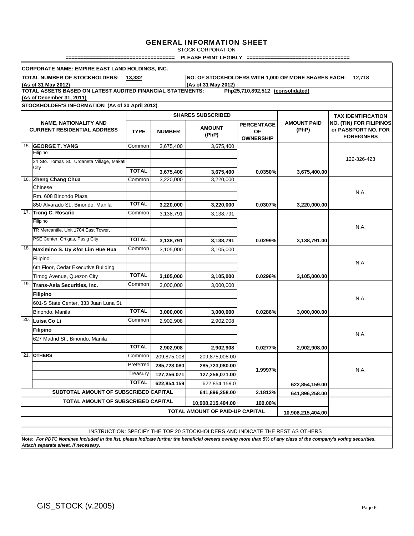STOCK CORPORATION

**==================================== PLEASE PRINT LEGIBLY ==================================**

|                                                                                                                             | <b>CORPORATE NAME: EMPIRE EAST LAND HOLDINGS, INC.</b>                                                                                                                                                  |              |               |                                                                              |                   |                    |                                |  |  |  |
|-----------------------------------------------------------------------------------------------------------------------------|---------------------------------------------------------------------------------------------------------------------------------------------------------------------------------------------------------|--------------|---------------|------------------------------------------------------------------------------|-------------------|--------------------|--------------------------------|--|--|--|
|                                                                                                                             | TOTAL NUMBER OF STOCKHOLDERS: 13,332                                                                                                                                                                    |              |               | NO. OF STOCKHOLDERS WITH 1,000 OR MORE SHARES EACH: 12,718                   |                   |                    |                                |  |  |  |
| (As of 31 May 2012)<br>(As of 31 May 2012)                                                                                  |                                                                                                                                                                                                         |              |               |                                                                              |                   |                    |                                |  |  |  |
| TOTAL ASSETS BASED ON LATEST AUDITED FINANCIAL STATEMENTS:<br>Php25,710,892,512 (consolidated)<br>(As of December 31, 2011) |                                                                                                                                                                                                         |              |               |                                                                              |                   |                    |                                |  |  |  |
|                                                                                                                             | STOCKHOLDER'S INFORMATION (As of 30 April 2012)                                                                                                                                                         |              |               |                                                                              |                   |                    |                                |  |  |  |
| <b>SHARES SUBSCRIBED</b><br><b>TAX IDENTIFICATION</b>                                                                       |                                                                                                                                                                                                         |              |               |                                                                              |                   |                    |                                |  |  |  |
|                                                                                                                             | <b>NAME, NATIONALITY AND</b>                                                                                                                                                                            |              |               |                                                                              | <b>PERCENTAGE</b> | <b>AMOUNT PAID</b> | <b>NO. (TIN) FOR FILIPINOS</b> |  |  |  |
|                                                                                                                             | <b>CURRENT RESIDENTIAL ADDRESS</b>                                                                                                                                                                      | <b>TYPE</b>  | <b>NUMBER</b> | <b>AMOUNT</b>                                                                | <b>OF</b>         | (PhP)              | or PASSPORT NO. FOR            |  |  |  |
|                                                                                                                             |                                                                                                                                                                                                         |              |               | (PhP)                                                                        | <b>OWNERSHIP</b>  |                    | <b>FOREIGNERS</b>              |  |  |  |
|                                                                                                                             | 15. GEORGE T. YANG<br>Filipino                                                                                                                                                                          | Common       | 3,675,400     | 3,675,400                                                                    |                   |                    |                                |  |  |  |
|                                                                                                                             | 24 Sto. Tomas St., Urdaneta Village, Makati                                                                                                                                                             |              |               |                                                                              |                   |                    | 122-326-423                    |  |  |  |
|                                                                                                                             | City                                                                                                                                                                                                    |              |               |                                                                              |                   |                    |                                |  |  |  |
|                                                                                                                             |                                                                                                                                                                                                         | <b>TOTAL</b> | 3,675,400     | 3,675,400                                                                    | 0.0350%           | 3,675,400.00       |                                |  |  |  |
|                                                                                                                             | 16. Zheng Chang Chua<br>Chinese                                                                                                                                                                         | Common       | 3,220,000     | 3,220,000                                                                    |                   |                    |                                |  |  |  |
|                                                                                                                             | Rm. 608 Binondo Plaza                                                                                                                                                                                   |              |               |                                                                              |                   |                    | N.A.                           |  |  |  |
|                                                                                                                             | 850 Alvarado St., Binondo, Manila                                                                                                                                                                       | <b>TOTAL</b> | 3,220,000     |                                                                              |                   |                    |                                |  |  |  |
|                                                                                                                             | 17. Tiong C. Rosario                                                                                                                                                                                    | Common       |               | 3,220,000                                                                    | 0.0307%           | 3,220,000.00       |                                |  |  |  |
|                                                                                                                             | Filipino                                                                                                                                                                                                |              | 3,138,791     | 3,138,791                                                                    |                   |                    |                                |  |  |  |
|                                                                                                                             | TR Mercantile, Unit 1704 East Tower,                                                                                                                                                                    |              |               |                                                                              |                   |                    | N.A.                           |  |  |  |
|                                                                                                                             | PSE Center, Ortigas, Pasig City                                                                                                                                                                         | <b>TOTAL</b> |               |                                                                              |                   |                    |                                |  |  |  |
| 18.                                                                                                                         |                                                                                                                                                                                                         | Common       | 3,138,791     | 3,138,791                                                                    | 0.0299%           | 3,138,791.00       |                                |  |  |  |
|                                                                                                                             | Maximino S. Uy &/or Lim Hue Hua                                                                                                                                                                         |              | 3,105,000     | 3,105,000                                                                    |                   |                    |                                |  |  |  |
|                                                                                                                             | Filipino                                                                                                                                                                                                |              |               |                                                                              |                   |                    | N.A.                           |  |  |  |
|                                                                                                                             | 6th Floor, Cedar Executive Building                                                                                                                                                                     | <b>TOTAL</b> |               |                                                                              |                   |                    |                                |  |  |  |
|                                                                                                                             | Timog Avenue, Quezon City                                                                                                                                                                               |              | 3,105,000     | 3,105,000                                                                    | 0.0296%           | 3,105,000.00       |                                |  |  |  |
| 19.                                                                                                                         | <b>Trans-Asia Securities, Inc.</b>                                                                                                                                                                      | Common       | 3,000,000     | 3,000,000                                                                    |                   |                    |                                |  |  |  |
|                                                                                                                             | <b>Filipino</b>                                                                                                                                                                                         |              |               |                                                                              |                   |                    | N.A.                           |  |  |  |
|                                                                                                                             | 601-S State Center, 333 Juan Luna St.                                                                                                                                                                   |              |               |                                                                              |                   |                    |                                |  |  |  |
|                                                                                                                             | Binondo, Manila                                                                                                                                                                                         | <b>TOTAL</b> | 3,000,000     | 3,000,000                                                                    | 0.0286%           | 3,000,000.00       |                                |  |  |  |
| 20.                                                                                                                         | Luisa Co Li                                                                                                                                                                                             | Common       | 2,902,908     | 2,902,908                                                                    |                   |                    |                                |  |  |  |
|                                                                                                                             | Filipino                                                                                                                                                                                                |              |               |                                                                              |                   |                    | N.A.                           |  |  |  |
|                                                                                                                             | 627 Madrid St., Binondo, Manila                                                                                                                                                                         |              |               |                                                                              |                   |                    |                                |  |  |  |
|                                                                                                                             |                                                                                                                                                                                                         | <b>TOTAL</b> | 2,902,908     | 2,902,908                                                                    | 0.0277%           | 2,902,908.00       |                                |  |  |  |
| 21.                                                                                                                         | <b>OTHERS</b>                                                                                                                                                                                           | Common       | 209,875,008   | 209,875,008.00                                                               |                   |                    |                                |  |  |  |
|                                                                                                                             |                                                                                                                                                                                                         | Preferred    | 285,723,080   | 285,723,080.00                                                               | 1.9997%           |                    | N.A.                           |  |  |  |
|                                                                                                                             |                                                                                                                                                                                                         | Treasury     | 127,256,071   | 127,256,071.00                                                               |                   |                    |                                |  |  |  |
|                                                                                                                             |                                                                                                                                                                                                         | <b>TOTAL</b> | 622,854,159   | 622,854,159.0                                                                |                   | 622,854,159.00     |                                |  |  |  |
|                                                                                                                             | SUBTOTAL AMOUNT OF SUBSCRIBED CAPITAL                                                                                                                                                                   |              |               | 641,896,258.00                                                               | 2.1812%           | 641,896,258.00     |                                |  |  |  |
|                                                                                                                             | TOTAL AMOUNT OF SUBSCRIBED CAPITAL                                                                                                                                                                      |              |               | 10,908,215,404.00                                                            | 100.00%           |                    |                                |  |  |  |
|                                                                                                                             | TOTAL AMOUNT OF PAID-UP CAPITAL<br>10,908,215,404.00                                                                                                                                                    |              |               |                                                                              |                   |                    |                                |  |  |  |
|                                                                                                                             |                                                                                                                                                                                                         |              |               |                                                                              |                   |                    |                                |  |  |  |
|                                                                                                                             |                                                                                                                                                                                                         |              |               | INSTRUCTION: SPECIFY THE TOP 20 STOCKHOLDERS AND INDICATE THE REST AS OTHERS |                   |                    |                                |  |  |  |
|                                                                                                                             |                                                                                                                                                                                                         |              |               |                                                                              |                   |                    |                                |  |  |  |
|                                                                                                                             | Note: For PDTC Nominee included in the list, please indicate further the beneficial owners owning more than 5% of any class of the company's voting securities.<br>Attach separate sheet, if necessary. |              |               |                                                                              |                   |                    |                                |  |  |  |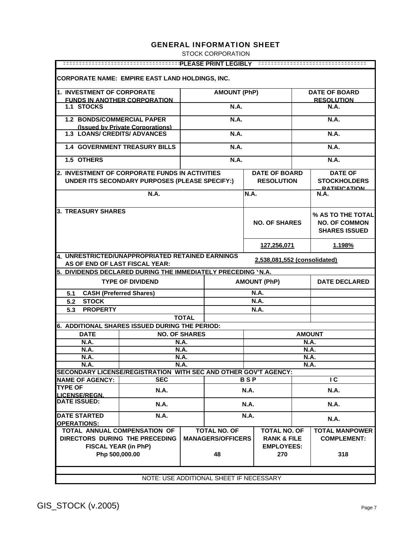STOCK CORPORATION

| <b>CORPORATE NAME: EMPIRE EAST LAND HOLDINGS, INC.</b>                  |                                                                                                                    |                      |                          |             |                                           |               |                                                                   |  |
|-------------------------------------------------------------------------|--------------------------------------------------------------------------------------------------------------------|----------------------|--------------------------|-------------|-------------------------------------------|---------------|-------------------------------------------------------------------|--|
| 1. INVESTMENT OF CORPORATE                                              |                                                                                                                    |                      | <b>AMOUNT (PhP)</b>      |             |                                           |               | <b>DATE OF BOARD</b>                                              |  |
|                                                                         | <b>FUNDS IN ANOTHER CORPORATION</b>                                                                                |                      |                          |             |                                           |               | <b>RESOLUTION</b>                                                 |  |
| 1.1 STOCKS                                                              |                                                                                                                    |                      | <b>N.A.</b>              |             |                                           |               | <b>N.A.</b>                                                       |  |
| <b>1.2 BONDS/COMMERCIAL PAPER</b>                                       |                                                                                                                    |                      | <b>N.A.</b>              |             |                                           |               | <b>N.A.</b>                                                       |  |
| <b>1.3 LOANS/ CREDITS/ ADVANCES</b>                                     | (Issued by Private Corporations)                                                                                   |                      | <b>N.A.</b>              |             |                                           |               | <b>N.A.</b>                                                       |  |
|                                                                         | <b>1.4 GOVERNMENT TREASURY BILLS</b>                                                                               |                      | <b>N.A.</b>              |             |                                           |               | <b>N.A.</b>                                                       |  |
| 1.5 OTHERS                                                              |                                                                                                                    |                      | N.A.                     |             |                                           |               | <b>N.A.</b>                                                       |  |
|                                                                         |                                                                                                                    |                      |                          |             |                                           |               |                                                                   |  |
| <b>2. INVESTMENT OF CORPORATE FUNDS IN ACTIVITIES</b>                   | UNDER ITS SECONDARY PURPOSES (PLEASE SPECIFY:)                                                                     |                      |                          |             | <b>DATE OF BOARD</b><br><b>RESOLUTION</b> |               | <b>DATE OF</b><br><b>STOCKHOLDERS</b>                             |  |
|                                                                         | N.A.                                                                                                               |                      |                          | N.A.        |                                           |               | <u>R.A.T.IEIC.A.T.ION</u><br>N.A.                                 |  |
|                                                                         |                                                                                                                    |                      |                          |             |                                           |               |                                                                   |  |
| 3. TREASURY SHARES                                                      |                                                                                                                    |                      |                          |             | <b>NO. OF SHARES</b>                      |               | % AS TO THE TOTAL<br><b>NO. OF COMMON</b><br><b>SHARES ISSUED</b> |  |
|                                                                         |                                                                                                                    |                      |                          | 127,256,071 |                                           |               | 1.198%                                                            |  |
|                                                                         | 4. UNRESTRICTED/UNAPPROPRIATED RETAINED EARNINGS<br>2,538,081,552 (consolidated)<br>AS OF END OF LAST FISCAL YEAR: |                      |                          |             |                                           |               |                                                                   |  |
| 5. DIVIDENDS DECLARED DURING THE IMMEDIATELY PRECEDING 'N.A.            |                                                                                                                    |                      |                          |             |                                           |               |                                                                   |  |
|                                                                         | <b>TYPE OF DIVIDEND</b>                                                                                            |                      |                          |             | <b>AMOUNT (PhP)</b>                       |               | <b>DATE DECLARED</b>                                              |  |
| <b>CASH (Preferred Shares)</b><br>5.1                                   |                                                                                                                    |                      |                          |             | <b>N.A.</b>                               |               |                                                                   |  |
| <b>STOCK</b><br>5.2                                                     |                                                                                                                    |                      |                          |             | <b>N.A.</b>                               |               |                                                                   |  |
| <b>PROPERTY</b><br>5.3                                                  |                                                                                                                    |                      |                          |             | <b>N.A.</b>                               |               |                                                                   |  |
|                                                                         |                                                                                                                    | <b>TOTAL</b>         |                          |             |                                           |               |                                                                   |  |
| 6. ADDITIONAL SHARES ISSUED DURING THE PERIOD:                          |                                                                                                                    |                      |                          |             |                                           |               |                                                                   |  |
| <b>DATE</b>                                                             |                                                                                                                    | <b>NO. OF SHARES</b> |                          |             |                                           | <b>AMOUNT</b> |                                                                   |  |
| <b>N.A.</b>                                                             |                                                                                                                    | <b>N.A.</b>          |                          |             |                                           | N.A.          |                                                                   |  |
| N.A.                                                                    |                                                                                                                    | N.A.                 |                          |             |                                           | N.A.          |                                                                   |  |
| <b>N.A.</b>                                                             |                                                                                                                    | N.A.                 |                          |             |                                           | <b>N.A.</b>   |                                                                   |  |
| N.A.<br>SECONDARY LICENSE/REGISTRATION WITH SEC AND OTHER GOV'T AGENCY: |                                                                                                                    | N.A.                 |                          |             |                                           | N.A.          |                                                                   |  |
| <b>NAME OF AGENCY:</b>                                                  | <b>SEC</b>                                                                                                         |                      |                          | <b>BSP</b>  |                                           |               | $\overline{\mathsf{c}}$                                           |  |
| <b>TYPE OF</b>                                                          | N.A.                                                                                                               |                      |                          | <b>N.A.</b> |                                           |               | <b>N.A.</b>                                                       |  |
| <b>LICENSE/REGN.</b><br><b>DATE ISSUED:</b>                             | <b>N.A.</b>                                                                                                        |                      |                          | <b>N.A.</b> |                                           |               | <b>N.A.</b>                                                       |  |
| <b>DATE STARTED</b>                                                     | <b>N.A.</b>                                                                                                        |                      |                          | N.A.        |                                           |               |                                                                   |  |
| <b>OPERATIONS:</b>                                                      |                                                                                                                    |                      |                          |             |                                           |               | <b>N.A.</b>                                                       |  |
| TOTAL ANNUAL COMPENSATION OF                                            |                                                                                                                    |                      | <b>TOTAL NO. OF</b>      |             | <b>TOTAL NO. OF</b>                       |               | <b>TOTAL MANPOWER</b>                                             |  |
| DIRECTORS DURING THE PRECEDING                                          |                                                                                                                    |                      | <b>MANAGERS/OFFICERS</b> |             | <b>RANK &amp; FILE</b>                    |               | <b>COMPLEMENT:</b>                                                |  |
| <b>FISCAL YEAR (in PhP)</b>                                             |                                                                                                                    |                      |                          |             | <b>EMPLOYEES:</b>                         |               |                                                                   |  |
| Php 500,000.00                                                          |                                                                                                                    |                      | 48                       |             | 270                                       |               | 318                                                               |  |
|                                                                         | NOTE: USE ADDITIONAL SHEET IF NECESSARY                                                                            |                      |                          |             |                                           |               |                                                                   |  |